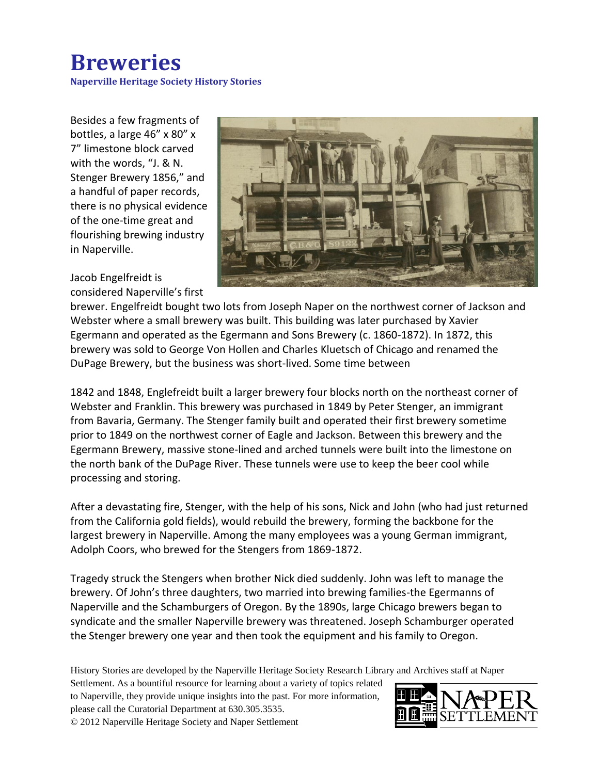## **Breweries**

**Naperville Heritage Society History Stories**

Besides a few fragments of bottles, a large 46" x 80" x 7" limestone block carved with the words, "J. & N. Stenger Brewery 1856," and a handful of paper records, there is no physical evidence of the one-time great and flourishing brewing industry in Naperville.

Jacob Engelfreidt is considered Naperville's first



brewer. Engelfreidt bought two lots from Joseph Naper on the northwest corner of Jackson and Webster where a small brewery was built. This building was later purchased by Xavier Egermann and operated as the Egermann and Sons Brewery (c. 1860-1872). In 1872, this brewery was sold to George Von Hollen and Charles Kluetsch of Chicago and renamed the DuPage Brewery, but the business was short-lived. Some time between

1842 and 1848, Englefreidt built a larger brewery four blocks north on the northeast corner of Webster and Franklin. This brewery was purchased in 1849 by Peter Stenger, an immigrant from Bavaria, Germany. The Stenger family built and operated their first brewery sometime prior to 1849 on the northwest corner of Eagle and Jackson. Between this brewery and the Egermann Brewery, massive stone-lined and arched tunnels were built into the limestone on the north bank of the DuPage River. These tunnels were use to keep the beer cool while processing and storing.

After a devastating fire, Stenger, with the help of his sons, Nick and John (who had just returned from the California gold fields), would rebuild the brewery, forming the backbone for the largest brewery in Naperville. Among the many employees was a young German immigrant, Adolph Coors, who brewed for the Stengers from 1869-1872.

Tragedy struck the Stengers when brother Nick died suddenly. John was left to manage the brewery. Of John's three daughters, two married into brewing families-the Egermanns of Naperville and the Schamburgers of Oregon. By the 1890s, large Chicago brewers began to syndicate and the smaller Naperville brewery was threatened. Joseph Schamburger operated the Stenger brewery one year and then took the equipment and his family to Oregon.

History Stories are developed by the Naperville Heritage Society Research Library and Archives staff at Naper

Settlement. As a bountiful resource for learning about a variety of topics related to Naperville, they provide unique insights into the past. For more information, please call the Curatorial Department at 630.305.3535. © 2012 Naperville Heritage Society and Naper Settlement